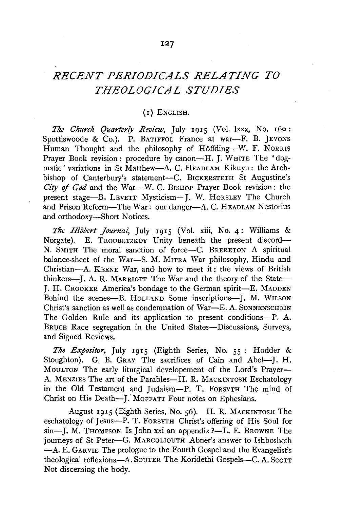## *RECENT PERIODICALS RELATING TO THEOLOGICAL STUDIES*

## (I) ENGLISH.

*The Church Quarterly Review,* July 1915 (Vol. lxxx, No. 160: Spottiswoode & Co.). P. BATIFFOL France at war-F. B. JEVONS Human Thought and the philosophy of Höffding--W. F. NORRIS Prayer Book revision: procedure by canon-H. J. WHITE The 'dogmatic' variations in St Matthew-A. C. HEADLAM Kikuyu : the Archbishop of Canterbury's statement-C. B1CKERSTETH St Augustine's *City* of *God* and the War-W. C. B1sHoP Prayer Book revision: the present stage-B. LEVETT Mysticism-J. W. HORSLEY The Church and Prison Reform-The War: our danger-A. C. HEADLAM Nestorius and orthodoxy-Short Notices.

*The Hibbert Journal,* July 1915 (Vol. xiii, No. 4: Williams & Norgate). E. TROUBETZKOY Unity beneath the present discord-N. SMITH The moral sanction of force-C. BRERETON A spiritual balance-sheet of the War-S. M. MITRA War philosophy, Hindu and Christian-A. KEENE War, and how to meet it: the views of British thinkers-J. A. R. MARRIOTT The War and the theory of the State-J. H. CROOKER America's bondage to the German spirit-E. MADDEN Behind the scenes-B. HOLLAND Some inscriptions-J. M. WILSON Christ's sanction as well as condemnation of War-E. A. SONNENSCHEIN The Golden Rule and its application to present conditions--P. A. BRUCE Race segregation in the United States-Discussions, Surveys, and Signed Reviews.

*The Expositor,* July 1915 (Eighth Series, No. 55 : Hodder & Stoughton). G. B. GRAY The sacrifices of Cain and Abel---I. H. MOULTON The early liturgical developement of the Lord's Prayer-A. MENZIES The art of the Parables-H. R. MACKINTOSH Eschatology in the Old Testament and Judaism-P. T. FORSYTH The mind of Christ on His Death-I. MOFFATT Four notes on Ephesians.

August 1915 (Eighth Series, No. 56). H. R. MACKINTOSH The eschatology of Jesus-P. T. FORSYTH Christ's offering of His Soul for  $sin$ -I. M. Thompson Is John xxi an appendix?-L. E. BROWNE The journeys of St Peter-G. MARGOLIOUTH Abner's answer to Ishbosheth -A. E. GARVIE The prologue to the Fourth Gospel and the Evangelist's theological reflexions-A. SOUTER The Koridethi Gospels-C. A. Scott Not discerning the body.